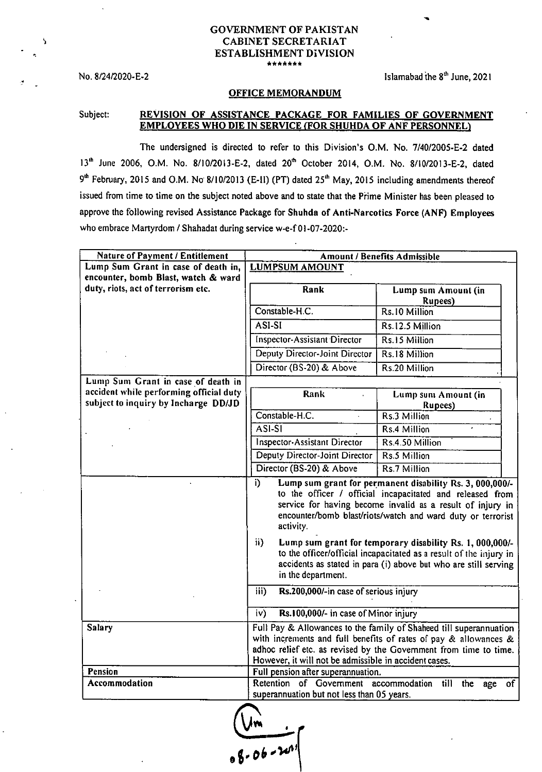## GOVERNMENT OF PAKISTAN CABINET SECRETARIAT ESTABLISHMENT DIVISION \*\*\*\*\*\*

No.  $8/24/2020 - E - 2$  Islamabad the  $8<sup>th</sup>$  June, 2021

## OFFICE MEMORANDUM

## Subject: REVISION OF ASSISTANCE PACKAGE FOR FAMILIES OF GOVERNMENT EMPLOYEES WHO DIE IN SERVICE (FOR SHUHDA OF ANF PERSONNEL)

The undersigned is directed to refer to this Division's O.M. No. 7/40/2005-E-2 dated 13<sup>th</sup> June 2006, O.M. No. 8/10/2013-E-2, dated 20<sup>th</sup> October 2014, O.M. No. 8/10/2013-E-2, dated 9<sup>th</sup> February, 2015 and O.M. No 8/10/2013 (E-11) (PT) dated 25<sup>th</sup> May, 2015 including amendments thereof issued from time to time on the subject noted above and to state that the Prime Minister has been pleased to approve the following revised Assistance Package for Shuhda of Anti-Narcotics Force (ANF) Employees who embrace Martyrdom / Shahadat during service w-e-f 01-07-2020:-

| <b>Nature of Payment / Entitlement</b>                                          | Amount / Benefits Admissible                                                                                                                                                                                                                                                                                                                                                                                                                                                                                                                             |                                        |  |  |  |
|---------------------------------------------------------------------------------|----------------------------------------------------------------------------------------------------------------------------------------------------------------------------------------------------------------------------------------------------------------------------------------------------------------------------------------------------------------------------------------------------------------------------------------------------------------------------------------------------------------------------------------------------------|----------------------------------------|--|--|--|
| Lump Sum Grant in case of death in,                                             | <b>LUMPSUM AMOUNT</b>                                                                                                                                                                                                                                                                                                                                                                                                                                                                                                                                    |                                        |  |  |  |
| encounter, bomb Blast, watch & ward                                             |                                                                                                                                                                                                                                                                                                                                                                                                                                                                                                                                                          |                                        |  |  |  |
| duty, riots, act of terrorism etc.                                              | Rank                                                                                                                                                                                                                                                                                                                                                                                                                                                                                                                                                     | Lump sum Amount (in<br><b>Rupees</b> ) |  |  |  |
|                                                                                 | Constable-H.C.                                                                                                                                                                                                                                                                                                                                                                                                                                                                                                                                           | Rs.10 Million                          |  |  |  |
|                                                                                 | ASI-SI                                                                                                                                                                                                                                                                                                                                                                                                                                                                                                                                                   | Rs.12.5 Million                        |  |  |  |
|                                                                                 | Inspector-Assistant Director                                                                                                                                                                                                                                                                                                                                                                                                                                                                                                                             | Rs.15 Million                          |  |  |  |
|                                                                                 | Deputy Director-Joint Director                                                                                                                                                                                                                                                                                                                                                                                                                                                                                                                           | Rs.18 Million                          |  |  |  |
|                                                                                 | Director (BS-20) & Above                                                                                                                                                                                                                                                                                                                                                                                                                                                                                                                                 | Rs.20 Million                          |  |  |  |
| Lump Sum Grant in case of death in                                              |                                                                                                                                                                                                                                                                                                                                                                                                                                                                                                                                                          |                                        |  |  |  |
| accident while performing official duty<br>subject to inquiry by Incharge DD/JD | Rank                                                                                                                                                                                                                                                                                                                                                                                                                                                                                                                                                     | Lump sum Amount (in<br><b>Rupees</b> ) |  |  |  |
|                                                                                 | Constable-H.C.                                                                                                                                                                                                                                                                                                                                                                                                                                                                                                                                           | Rs.3 Million                           |  |  |  |
|                                                                                 | ASI-SI                                                                                                                                                                                                                                                                                                                                                                                                                                                                                                                                                   | Rs.4 Million                           |  |  |  |
|                                                                                 | Inspector-Assistant Director                                                                                                                                                                                                                                                                                                                                                                                                                                                                                                                             | Rs.4.50 Million                        |  |  |  |
|                                                                                 | Deputy Director-Joint Director                                                                                                                                                                                                                                                                                                                                                                                                                                                                                                                           | Rs.5 Million                           |  |  |  |
|                                                                                 | Director (BS-20) & Above                                                                                                                                                                                                                                                                                                                                                                                                                                                                                                                                 | Rs.7 Million                           |  |  |  |
|                                                                                 | i)<br>Lump sum grant for permanent disability Rs. 3, 000,000/-<br>to the officer / official incapacitated and released from<br>service for having become invalid as a result of injury in<br>encounter/bomb blast/riots/watch and ward duty or terrorist<br>activity.<br>ii)<br>Lump sum grant for temporary disability Rs. 1, 000,000/-<br>to the officer/official incapacitated as a result of the injury in<br>accidents as stated in para (i) above but who are still serving<br>in the department.<br>iii)<br>Rs.200,000/-in case of serious injury |                                        |  |  |  |
|                                                                                 | iv)<br>Rs.100,000/- in case of Minor injury                                                                                                                                                                                                                                                                                                                                                                                                                                                                                                              |                                        |  |  |  |
| <b>Salary</b>                                                                   | Full Pay & Allowances to the family of Shaheed till superannuation<br>with increments and full benefits of rates of pay & allowances &<br>adhoc relief etc. as revised by the Government from time to time.<br>However, it will not be admissible in accident cases.                                                                                                                                                                                                                                                                                     |                                        |  |  |  |
| Pension                                                                         | Full pension after superannuation.                                                                                                                                                                                                                                                                                                                                                                                                                                                                                                                       |                                        |  |  |  |
| Accommodation                                                                   | Retention of Government accommodation<br>till<br>the age<br>of<br>superannuation but not less than 05 years.                                                                                                                                                                                                                                                                                                                                                                                                                                             |                                        |  |  |  |
|                                                                                 | $\frac{V_{m}}{88.06 - 240^{11}}$                                                                                                                                                                                                                                                                                                                                                                                                                                                                                                                         |                                        |  |  |  |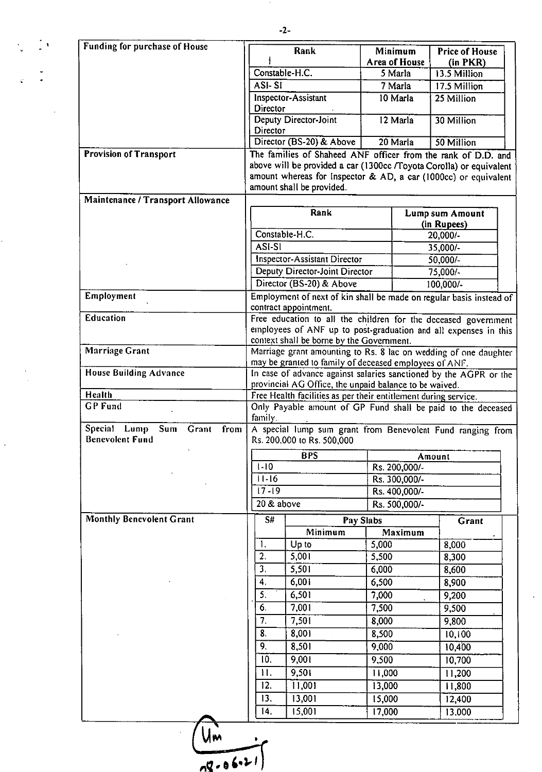-2-

 $\frac{1}{2} \frac{1}{2} \frac{1}{2} \frac{1}{2}$ 

i<br>S

 $\label{eq:2} \frac{1}{\sqrt{2}}\frac{1}{\sqrt{2}}\frac{1}{\sqrt{2}}\frac{1}{\sqrt{2}}\frac{1}{\sqrt{2}}\frac{1}{\sqrt{2}}\frac{1}{\sqrt{2}}\frac{1}{\sqrt{2}}\frac{1}{\sqrt{2}}\frac{1}{\sqrt{2}}\frac{1}{\sqrt{2}}\frac{1}{\sqrt{2}}\frac{1}{\sqrt{2}}\frac{1}{\sqrt{2}}\frac{1}{\sqrt{2}}\frac{1}{\sqrt{2}}\frac{1}{\sqrt{2}}\frac{1}{\sqrt{2}}\frac{1}{\sqrt{2}}\frac{1}{\sqrt{2}}\frac{1}{\sqrt{2}}\frac{$ 

 $\frac{1}{\sqrt{2}}$ 

 $\frac{d}{dt} \left( \frac{d\theta}{dt} \right) = \frac{d\theta}{dt}$ 

 $\sim 10$ 

| Funding for purchase of House                                            | Rank                                                                                                                                                                                                                                 | Minimum                                      | <b>Price of House</b>          |  |  |  |  |
|--------------------------------------------------------------------------|--------------------------------------------------------------------------------------------------------------------------------------------------------------------------------------------------------------------------------------|----------------------------------------------|--------------------------------|--|--|--|--|
|                                                                          |                                                                                                                                                                                                                                      | Area of House                                | (in PKR)                       |  |  |  |  |
|                                                                          | Constable-H.C.                                                                                                                                                                                                                       | 5 Marla                                      | 13.5 Million                   |  |  |  |  |
|                                                                          | ASI-SI                                                                                                                                                                                                                               | 7 Marla                                      | 17.5 Million                   |  |  |  |  |
|                                                                          | Inspector-Assistant<br>Director                                                                                                                                                                                                      | 10 Marla                                     | 25 Million                     |  |  |  |  |
|                                                                          | Deputy Director-Joint<br>Director                                                                                                                                                                                                    | 12 Marla                                     | 30 Million                     |  |  |  |  |
|                                                                          | Director (BS-20) & Above                                                                                                                                                                                                             | 20 Marla                                     | 50 Million                     |  |  |  |  |
| <b>Provision of Transport</b>                                            | The families of Shaheed ANF officer from the rank of D.D. and<br>above will be provided a car (1300cc /Toyota Corolla) or equivalent<br>amount whereas for Inspector & AD, a car (1000cc) or equivalent<br>amount shall be provided. |                                              |                                |  |  |  |  |
| Maintenance / Transport Allowance                                        |                                                                                                                                                                                                                                      |                                              |                                |  |  |  |  |
|                                                                          | Rank                                                                                                                                                                                                                                 |                                              | Lump sum Amount<br>(in Rupees) |  |  |  |  |
|                                                                          | Constable-H.C.                                                                                                                                                                                                                       |                                              | 20,000/-                       |  |  |  |  |
|                                                                          | ASI-SI                                                                                                                                                                                                                               |                                              | 35,000/-                       |  |  |  |  |
|                                                                          | Inspector-Assistant Director                                                                                                                                                                                                         | $50,000/-$                                   |                                |  |  |  |  |
|                                                                          |                                                                                                                                                                                                                                      | Deputy Director-Joint Director<br>$75,000/-$ |                                |  |  |  |  |
|                                                                          | Director (BS-20) & Above                                                                                                                                                                                                             |                                              | 100,000/-                      |  |  |  |  |
| Employment                                                               | Employment of next of kin shall be made on regular basis instead of<br>contract appointment.                                                                                                                                         |                                              |                                |  |  |  |  |
| <b>Education</b>                                                         | Free education to all the children for the deceased government                                                                                                                                                                       |                                              |                                |  |  |  |  |
|                                                                          | employees of ANF up to post-graduation and all expenses in this                                                                                                                                                                      |                                              |                                |  |  |  |  |
| <b>Marriage Grant</b>                                                    | context shall be borne by the Government.                                                                                                                                                                                            |                                              |                                |  |  |  |  |
|                                                                          | Marriage grant amounting to Rs. 8 lac on wedding of one daughter                                                                                                                                                                     |                                              |                                |  |  |  |  |
| <b>House Building Advance</b>                                            | may be granted to family of deceased employees of ANF.<br>In case of advance against salaries sanctioned by the AGPR or the                                                                                                          |                                              |                                |  |  |  |  |
|                                                                          | provincial AG Office, the unpaid balance to be waived.                                                                                                                                                                               |                                              |                                |  |  |  |  |
| Health                                                                   | Free Health facilities as per their entitlement during service.                                                                                                                                                                      |                                              |                                |  |  |  |  |
| <b>GP Fund</b>                                                           | Only Payable amount of GP Fund shall be paid to the deceased<br>family.                                                                                                                                                              |                                              |                                |  |  |  |  |
| <b>Special</b><br>Lump<br>Sum<br>Grant<br>from<br><b>Benevolent Fund</b> | A special lump sum grant from Benevolent Fund ranging from<br>Rs. 200,000 to Rs. 500,000                                                                                                                                             |                                              |                                |  |  |  |  |
|                                                                          | <b>BPS</b>                                                                                                                                                                                                                           | Amount                                       |                                |  |  |  |  |
|                                                                          | $1 - 10$                                                                                                                                                                                                                             | Rs. 200,000/-                                |                                |  |  |  |  |
|                                                                          | $11 - 16$                                                                                                                                                                                                                            | Rs. 300,000/-                                |                                |  |  |  |  |
|                                                                          | $17 - 19$                                                                                                                                                                                                                            | Rs. 400,000/-                                |                                |  |  |  |  |
|                                                                          |                                                                                                                                                                                                                                      |                                              |                                |  |  |  |  |
|                                                                          | 20 & above                                                                                                                                                                                                                           | Rs. 500,000/-                                |                                |  |  |  |  |
| <b>Monthly Benevolent Grant</b>                                          | S#                                                                                                                                                                                                                                   | Pay Slabs                                    | Grant                          |  |  |  |  |
|                                                                          | Minimum                                                                                                                                                                                                                              | Maximum                                      |                                |  |  |  |  |
|                                                                          | Up to<br>1.                                                                                                                                                                                                                          | 5,000                                        | 8,000                          |  |  |  |  |
|                                                                          | 2.<br>5,001                                                                                                                                                                                                                          | 5,500                                        | 8,300                          |  |  |  |  |
|                                                                          | 3.<br>5,501                                                                                                                                                                                                                          | 6,000                                        | 8,600                          |  |  |  |  |
|                                                                          | 6,001<br>4.                                                                                                                                                                                                                          | 6,500                                        | 8,900                          |  |  |  |  |
|                                                                          | 5.<br>6,501                                                                                                                                                                                                                          | 7,000                                        | 9,200                          |  |  |  |  |
|                                                                          | 6.<br>7,001                                                                                                                                                                                                                          | 7,500                                        | 9,500                          |  |  |  |  |
|                                                                          | 7.<br>7,501                                                                                                                                                                                                                          | 8,000                                        | 9,800                          |  |  |  |  |
|                                                                          | 8.<br>8,001                                                                                                                                                                                                                          | 8,500                                        | 10,100                         |  |  |  |  |
|                                                                          | 9.<br>8,501                                                                                                                                                                                                                          | 9,000                                        | 10,400                         |  |  |  |  |
|                                                                          | 10.<br>9,001                                                                                                                                                                                                                         | 9,500                                        | 10,700                         |  |  |  |  |
|                                                                          | 9,501<br>11.                                                                                                                                                                                                                         | 11,000                                       | 11,200                         |  |  |  |  |
|                                                                          | 12.<br>11,001                                                                                                                                                                                                                        | 13,000                                       | 11,800                         |  |  |  |  |
|                                                                          | 13.<br>13,001                                                                                                                                                                                                                        | 15,000                                       | 12,400                         |  |  |  |  |

 $\label{eq:2} \frac{1}{\sqrt{2}}\int_{0}^{\infty}\frac{1}{\sqrt{2\pi}}\left(\frac{1}{\sqrt{2}}\right)^{2}d\mu_{\rm{eff}}$ 

 $\frac{u}{g\cdot 66v^{2}}$